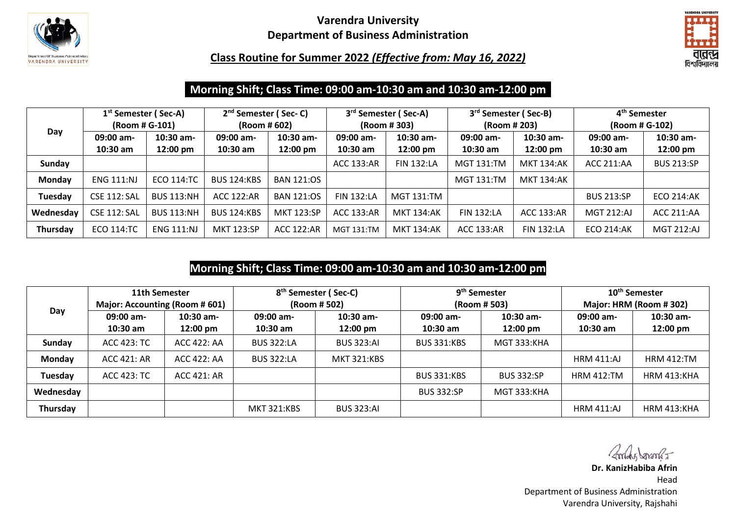

### **Varendra University Department of Business Administration**



**Class Routine for Summer 2022** *(Effective from: May 16, 2022)*

# **Morning Shift; Class Time: 09:00 am-10:30 am and 10:30 am-12:00 pm**

|           | 1 <sup>st</sup> Semester (Sec-A) |                   | $2nd$ Semester (Sec-C) |                   | 3 <sup>rd</sup> Semester (Sec-A) |                   | 3 <sup>rd</sup> Semester (Sec-B) |                   | 4 <sup>th</sup> Semester |                   |
|-----------|----------------------------------|-------------------|------------------------|-------------------|----------------------------------|-------------------|----------------------------------|-------------------|--------------------------|-------------------|
|           | (Room # G-101)                   |                   | (Room # 602)           |                   | (Room # 303)                     |                   | (Room # 203)                     |                   | (Room # G-102)           |                   |
| Day       | 09:00 am-                        | $10:30$ am-       | 09:00 am-              | 10:30 am-         | 09:00 am-                        | $10:30$ am-       | 09:00 am-                        | 10:30 am-         | 09:00 am-                | $10:30$ am-       |
|           | $10:30$ am                       | 12:00 pm          | $10:30$ am             | 12:00 pm          | $10:30$ am                       | 12:00 pm          | $10:30$ am                       | 12:00 pm          | $10:30$ am               | 12:00 pm          |
| Sunday    |                                  |                   |                        |                   | ACC 133:AR                       | <b>FIN 132:LA</b> | <b>MGT 131:TM</b>                | <b>MKT 134:AK</b> | <b>ACC 211:AA</b>        | <b>BUS 213:SP</b> |
| Monday    | <b>ENG 111:NJ</b>                | <b>ECO 114:TC</b> | <b>BUS 124:KBS</b>     | <b>BAN 121:OS</b> |                                  |                   | <b>MGT 131:TM</b>                | MKT 134:AK        |                          |                   |
| Tuesday   | <b>CSE 112: SAL</b>              | <b>BUS 113:NH</b> | <b>ACC 122:AR</b>      | <b>BAN 121:0S</b> | <b>FIN 132:LA</b>                | MGT 131:TM        |                                  |                   | <b>BUS 213:SP</b>        | <b>ECO 214:AK</b> |
| Wednesday | <b>CSE 112: SAL</b>              | <b>BUS 113:NH</b> | <b>BUS 124:KBS</b>     | <b>MKT 123:SP</b> | ACC 133:AR                       | <b>MKT 134:AK</b> | <b>FIN 132:LA</b>                | ACC 133:AR        | MGT 212:AJ               | <b>ACC 211:AA</b> |
| Thursday  | <b>ECO 114:TC</b>                | <b>ENG 111:NJ</b> | <b>MKT 123:SP</b>      | <b>ACC 122:AR</b> | <b>MGT 131:TM</b>                | <b>MKT 134:AK</b> | <b>ACC 133:AR</b>                | <b>FIN 132:LA</b> | <b>ECO 214:AK</b>        | <b>MGT 212:AJ</b> |

# **Morning Shift; Class Time: 09:00 am-10:30 am and 10:30 am-12:00 pm**

|                                | 11th Semester |              | 8 <sup>th</sup> Semester (Sec-C) |                    |                    | 9 <sup>th</sup> Semester | 10 <sup>th</sup> Semester |                    |
|--------------------------------|---------------|--------------|----------------------------------|--------------------|--------------------|--------------------------|---------------------------|--------------------|
| Major: Accounting (Room # 601) |               | (Room # 502) |                                  |                    | (Room # 503)       | Major: HRM (Room #302)   |                           |                    |
| Day                            | $09:00$ am-   | $10:30$ am-  | $09:00$ am-                      | $10:30$ am-        | 09:00 am-          | $10:30$ am-              | $09:00$ am-               | $10:30$ am-        |
|                                | $10:30$ am    | 12:00 pm     | $10:30$ am                       | $12:00 \text{ pm}$ | $10:30$ am         | $12:00 \text{ pm}$       | $10:30$ am                | 12:00 pm           |
| Sunday                         | ACC 423: TC   | ACC 422: AA  | <b>BUS 322:LA</b>                | <b>BUS 323:AI</b>  | <b>BUS 331:KBS</b> | <b>MGT 333:KHA</b>       |                           |                    |
| Monday                         | ACC 421: AR   | ACC 422: AA  | <b>BUS 322:LA</b>                | <b>MKT 321:KBS</b> |                    |                          | <b>HRM 411:AJ</b>         | <b>HRM 412:TM</b>  |
| Tuesday                        | ACC 423: TC   | ACC 421: AR  |                                  |                    | <b>BUS 331:KBS</b> | <b>BUS 332:SP</b>        | <b>HRM 412:TM</b>         | <b>HRM 413:KHA</b> |
| Wednesday                      |               |              |                                  |                    | <b>BUS 332:SP</b>  | <b>MGT 333:KHA</b>       |                           |                    |
| Thursday                       |               |              | <b>MKT 321:KBS</b>               | <b>BUS 323:AI</b>  |                    |                          | <b>HRM 411:AJ</b>         | <b>HRM 413:KHA</b> |

Andy Janson

**Dr. KanizHabiba Afrin** Head Department of Business Administration Varendra University, Rajshahi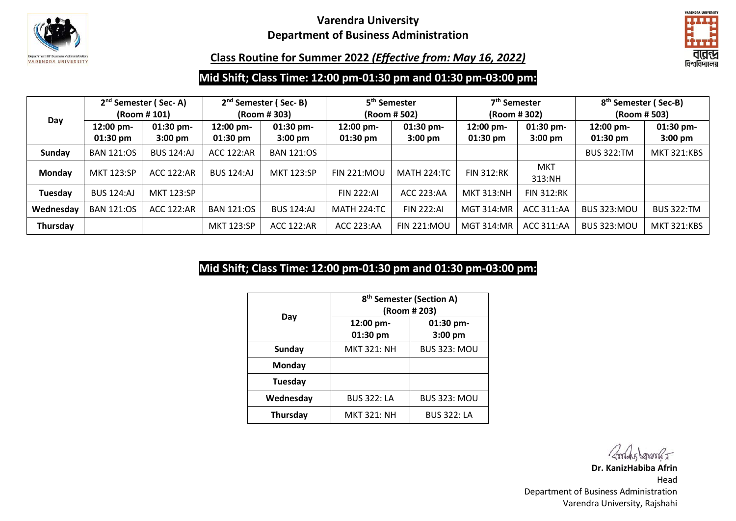

### **Varendra University Department of Business Administration**



#### **Class Routine for Summer 2022** *(Effective from: May 16, 2022)*

## **Mid Shift; Class Time: 12:00 pm-01:30 pm and 01:30 pm-03:00 pm:**

|           | 2 <sup>nd</sup> Semester (Sec-A)<br>(Room # 101) |                                  | 2 <sup>nd</sup> Semester (Sec-B)<br>(Room #303) |                                  | 5 <sup>th</sup> Semester<br>(Room # 502) |                                | 7 <sup>th</sup> Semester<br>(Room # 302) |                                  | 8 <sup>th</sup> Semester (Sec-B)<br>(Room # 503) |                        |
|-----------|--------------------------------------------------|----------------------------------|-------------------------------------------------|----------------------------------|------------------------------------------|--------------------------------|------------------------------------------|----------------------------------|--------------------------------------------------|------------------------|
| Day       | 12:00 pm-<br>$01:30$ pm                          | $01:30$ pm-<br>$3:00 \text{ pm}$ | 12:00 pm-<br>$01:30 \text{ pm}$                 | $01:30$ pm-<br>$3:00 \text{ pm}$ | $12:00$ pm-<br>$01:30 \text{ pm}$        | 01:30 pm-<br>$3:00 \text{ pm}$ | 12:00 pm-<br>$01:30 \text{ pm}$          | $01:30$ pm-<br>$3:00 \text{ pm}$ | 12:00 pm-<br>$01:30 \text{ pm}$                  | 01:30 pm-<br>$3:00$ pm |
| Sunday    | <b>BAN 121:OS</b>                                | <b>BUS 124:AJ</b>                | <b>ACC 122:AR</b>                               | <b>BAN 121:0S</b>                |                                          |                                |                                          |                                  | <b>BUS 322:TM</b>                                | <b>MKT 321:KBS</b>     |
| Monday    | <b>MKT 123:SP</b>                                | <b>ACC 122:AR</b>                | <b>BUS 124:AJ</b>                               | <b>MKT 123:SP</b>                | <b>FIN 221:MOU</b>                       | <b>MATH 224:TC</b>             | <b>FIN 312:RK</b>                        | MKT<br>313:NH                    |                                                  |                        |
| Tuesday   | <b>BUS 124:AJ</b>                                | <b>MKT 123:SP</b>                |                                                 |                                  | <b>FIN 222:AI</b>                        | <b>ACC 223:AA</b>              | <b>MKT 313:NH</b>                        | <b>FIN 312:RK</b>                |                                                  |                        |
| Wednesday | <b>BAN 121:0S</b>                                | <b>ACC 122:AR</b>                | <b>BAN 121:OS</b>                               | <b>BUS 124:AJ</b>                | <b>MATH 224:TC</b>                       | <b>FIN 222:AI</b>              | <b>MGT 314:MR</b>                        | ACC 311:AA                       | <b>BUS 323:MOU</b>                               | <b>BUS 322:TM</b>      |
| Thursday  |                                                  |                                  | <b>MKT 123:SP</b>                               | ACC 122:AR                       | <b>ACC 223:AA</b>                        | <b>FIN 221:MOL</b>             | <b>MGT 314:MR</b>                        | ACC 311:AA                       | <b>BUS 323:MOU</b>                               | <b>MKT 321:KBS</b>     |

# **Mid Shift; Class Time: 12:00 pm-01:30 pm and 01:30 pm-03:00 pm:**

|                 | 8 <sup>th</sup> Semester (Section A)<br>(Room # 203) |                      |  |  |  |  |
|-----------------|------------------------------------------------------|----------------------|--|--|--|--|
| Day             | 12:00 pm-<br>01:30 pm                                | 01:30 pm-<br>3:00 pm |  |  |  |  |
| <b>Sunday</b>   | <b>MKT 321: NH</b>                                   | <b>BUS 323: MOU</b>  |  |  |  |  |
| Monday          |                                                      |                      |  |  |  |  |
| Tuesday         |                                                      |                      |  |  |  |  |
| Wednesday       | <b>BUS 322: LA</b>                                   | <b>BUS 323: MOU</b>  |  |  |  |  |
| <b>Thursday</b> | <b>MKT 321: NH</b>                                   | <b>BUS 322: LA</b>   |  |  |  |  |

Andy Janson

**Dr. KanizHabiba Afrin** Head Department of Business Administration Varendra University, Rajshahi